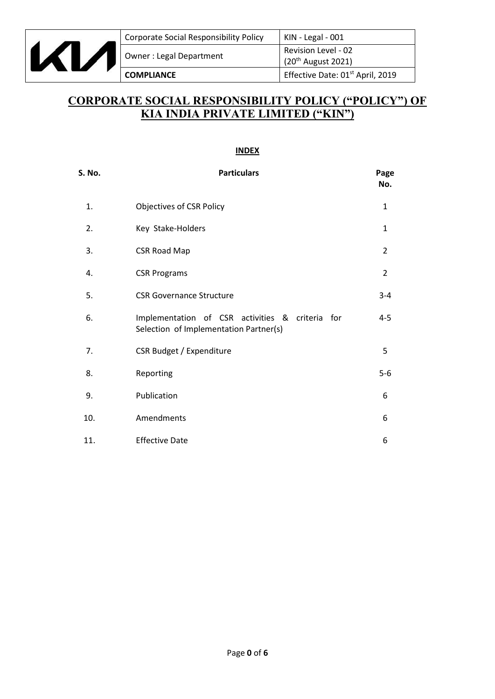

# **CORPORATE SOCIAL RESPONSIBILITY POLICY ("POLICY") OF KIA INDIA PRIVATE LIMITED ("KIN")**

#### **INDEX**

| <b>S. No.</b> | <b>Particulars</b>                                                                        | Page<br>No.    |
|---------------|-------------------------------------------------------------------------------------------|----------------|
| 1.            | <b>Objectives of CSR Policy</b>                                                           | 1              |
| 2.            | Key Stake-Holders                                                                         | 1              |
| 3.            | <b>CSR Road Map</b>                                                                       | $\overline{2}$ |
| 4.            | <b>CSR Programs</b>                                                                       | $\overline{2}$ |
| 5.            | <b>CSR Governance Structure</b>                                                           | $3 - 4$        |
| 6.            | Implementation of CSR activities & criteria for<br>Selection of Implementation Partner(s) | $4 - 5$        |
| 7.            | CSR Budget / Expenditure                                                                  | 5              |
| 8.            | Reporting                                                                                 | $5-6$          |
| 9.            | Publication                                                                               | 6              |
| 10.           | Amendments                                                                                | 6              |
| 11.           | <b>Effective Date</b>                                                                     | 6              |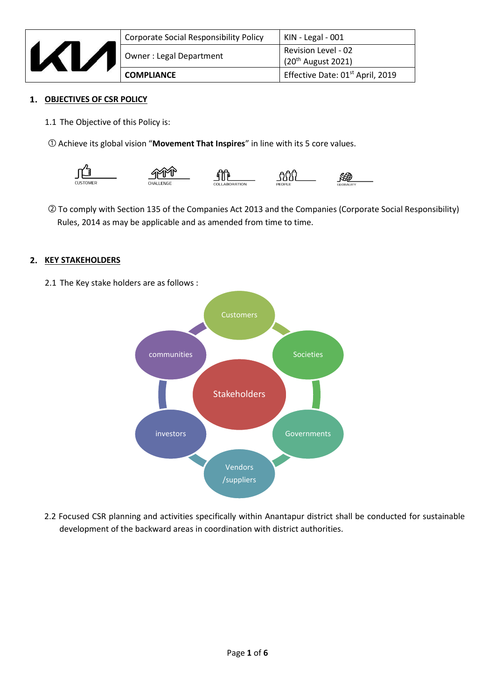

| <b>COMPLIANCE</b>                             | Effective Date: 01 <sup>st</sup> April, 2019          |
|-----------------------------------------------|-------------------------------------------------------|
| Owner: Legal Department                       | <b>Revision Level - 02</b><br>$(20^{th}$ August 2021) |
| <b>Corporate Social Responsibility Policy</b> | $KIN - Legal - 001$                                   |

#### **OBJECTIVES OF CSR POLICY**

- 1.1 The Objective of this Policy is:
- ① Achieve its global vision "**Movement That Inspires**" in line with its 5 core values.



② To comply with Section 135 of the Companies Act 2013 and the Companies (Corporate Social Responsibility) Rules, 2014 as may be applicable and as amended from time to time.

# **2. KEY STAKEHOLDERS**

2.1 The Key stake holders are as follows :



2.2 Focused CSR planning and activities specifically within Anantapur district shall be conducted for sustainable development of the backward areas in coordination with district authorities.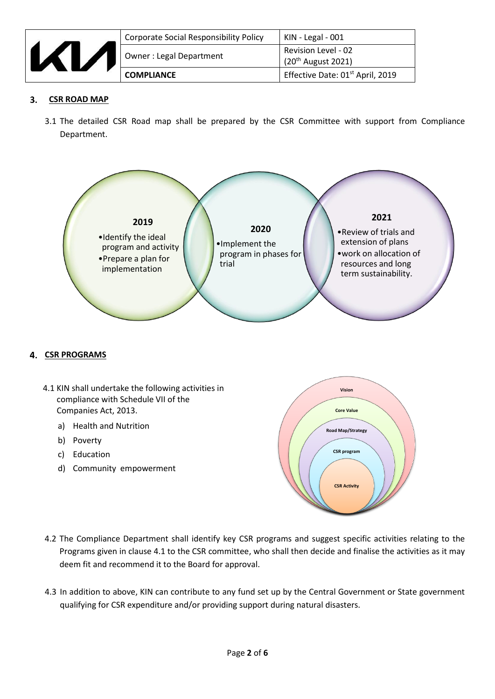

| <b>COMPLIANCE</b>                      | Effective Date: 01 <sup>st</sup> April, 2019          |
|----------------------------------------|-------------------------------------------------------|
| <b>Owner: Legal Department</b>         | Revision Level - 02<br>(20 <sup>th</sup> August 2021) |
| Corporate Social Responsibility Policy | KIN - Legal - 001                                     |

#### 3.  **CSR ROAD MAP**

3.1 The detailed CSR Road map shall be prepared by the CSR Committee with support from Compliance Department.



#### **CSR PROGRAMS**

- 4.1 KIN shall undertake the following activities in compliance with Schedule VII of the Companies Act, 2013.
	- a) Health and Nutrition
	- b) Poverty
	- c) Education
	- d) Community empowerment



- 4.2 The Compliance Department shall identify key CSR programs and suggest specific activities relating to the Programs given in clause 4.1 to the CSR committee, who shall then decide and finalise the activities as it may deem fit and recommend it to the Board for approval.
- 4.3 In addition to above, KIN can contribute to any fund set up by the Central Government or State government qualifying for CSR expenditure and/or providing support during natural disasters.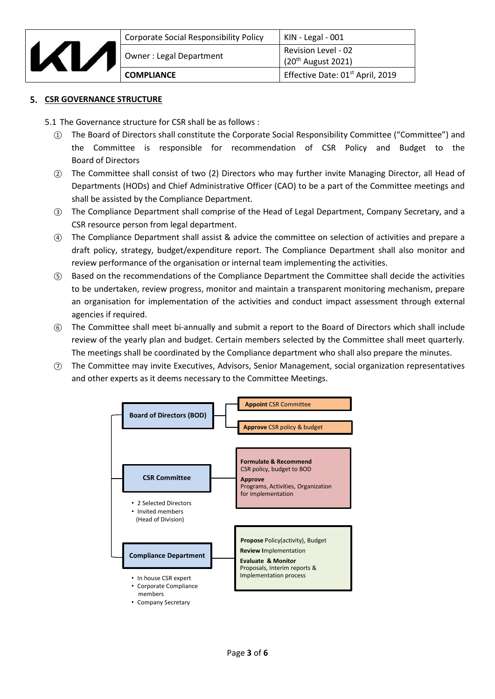

| Corporate Social Responsibility Policy | $KIN - Legal - 001$                          |
|----------------------------------------|----------------------------------------------|
| Owner: Legal Department                | Revision Level - 02<br>$(20th$ August 2021)  |
| <b>COMPLIANCE</b>                      | Effective Date: 01 <sup>st</sup> April, 2019 |

### **5. CSR GOVERNANCE STRUCTURE**

5.1 The Governance structure for CSR shall be as follows :

- ① The Board of Directors shall constitute the Corporate Social Responsibility Committee ("Committee") and the Committee is responsible for recommendation of CSR Policy and Budget to the Board of Directors
- ② The Committee shall consist of two (2) Directors who may further invite Managing Director, all Head of Departments (HODs) and Chief Administrative Officer (CAO) to be a part of the Committee meetings and shall be assisted by the Compliance Department.
- ③ The Compliance Department shall comprise of the Head of Legal Department, Company Secretary, and a CSR resource person from legal department.
- ④ The Compliance Department shall assist & advice the committee on selection of activities and prepare a draft policy, strategy, budget/expenditure report. The Compliance Department shall also monitor and review performance of the organisation or internal team implementing the activities.
- ⑤ Based on the recommendations of the Compliance Department the Committee shall decide the activities to be undertaken, review progress, monitor and maintain a transparent monitoring mechanism, prepare an organisation for implementation of the activities and conduct impact assessment through external agencies if required.
- ⑥ The Committee shall meet bi-annually and submit a report to the Board of Directors which shall include review of the yearly plan and budget. Certain members selected by the Committee shall meet quarterly. The meetings shall be coordinated by the Compliance department who shall also prepare the minutes.
- ⑦ The Committee may invite Executives, Advisors, Senior Management, social organization representatives and other experts as it deems necessary to the Committee Meetings.

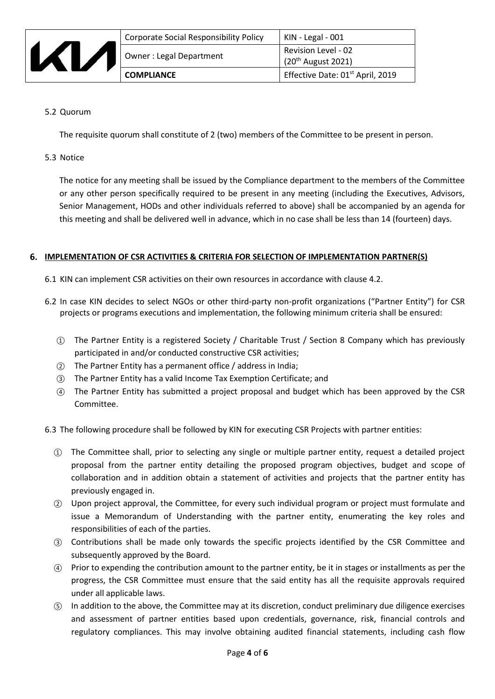

| <b>Corporate Social Responsibility Policy</b> | KIN - Legal - 001                                  |
|-----------------------------------------------|----------------------------------------------------|
| Owner: Legal Department                       | <b>Revision Level - 02</b><br>$(20th$ August 2021) |
| <b>COMPLIANCE</b>                             | Effective Date: 01 <sup>st</sup> April, 2019       |

## 5.2 Quorum

The requisite quorum shall constitute of 2 (two) members of the Committee to be present in person.

5.3 Notice

The notice for any meeting shall be issued by the Compliance department to the members of the Committee or any other person specifically required to be present in any meeting (including the Executives, Advisors, Senior Management, HODs and other individuals referred to above) shall be accompanied by an agenda for this meeting and shall be delivered well in advance, which in no case shall be less than 14 (fourteen) days.

#### **IMPLEMENTATION OF CSR ACTIVITIES & CRITERIA FOR SELECTION OF IMPLEMENTATION PARTNER(S)**

- 6.1 KIN can implement CSR activities on their own resources in accordance with clause 4.2.
- 6.2 In case KIN decides to select NGOs or other third-party non-profit organizations ("Partner Entity") for CSR projects or programs executions and implementation, the following minimum criteria shall be ensured:
	- ① The Partner Entity is a registered Society / Charitable Trust / Section 8 Company which has previously participated in and/or conducted constructive CSR activities;
	- ② The Partner Entity has a permanent office / address in India;
	- ③ The Partner Entity has a valid Income Tax Exemption Certificate; and
	- ④ The Partner Entity has submitted a project proposal and budget which has been approved by the CSR Committee.

6.3 The following procedure shall be followed by KIN for executing CSR Projects with partner entities:

- ① The Committee shall, prior to selecting any single or multiple partner entity, request a detailed project proposal from the partner entity detailing the proposed program objectives, budget and scope of collaboration and in addition obtain a statement of activities and projects that the partner entity has previously engaged in.
- ② Upon project approval, the Committee, for every such individual program or project must formulate and issue a Memorandum of Understanding with the partner entity, enumerating the key roles and responsibilities of each of the parties.
- ③ Contributions shall be made only towards the specific projects identified by the CSR Committee and subsequently approved by the Board.
- ④ Prior to expending the contribution amount to the partner entity, be it in stages or installments as per the progress, the CSR Committee must ensure that the said entity has all the requisite approvals required under all applicable laws.
- ⑤ In addition to the above, the Committee may at its discretion, conduct preliminary due diligence exercises and assessment of partner entities based upon credentials, governance, risk, financial controls and regulatory compliances. This may involve obtaining audited financial statements, including cash flow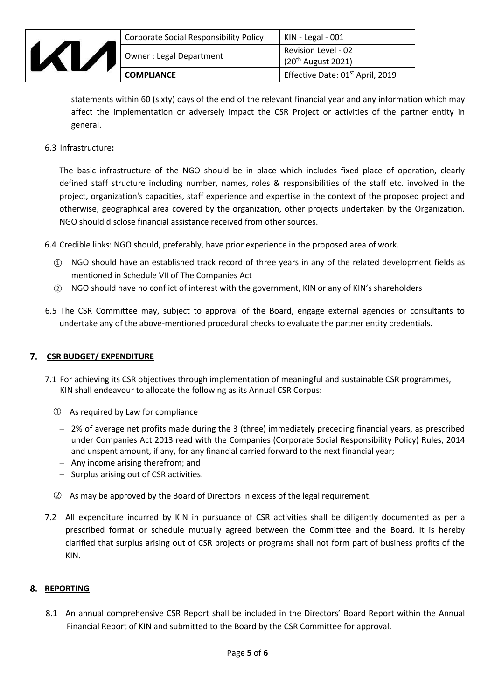| ÷. | ÷ |  |
|----|---|--|

|  | <b>Corporate Social Responsibility Policy</b> | KIN - Legal - 001                                       |
|--|-----------------------------------------------|---------------------------------------------------------|
|  | <b>Owner: Legal Department</b>                | Revision Level - 02<br>$\frac{1}{20^{th}}$ August 2021) |
|  | <b>COMPLIANCE</b>                             | Effective Date: 01 <sup>st</sup> April, 2019            |

statements within 60 (sixty) days of the end of the relevant financial year and any information which may affect the implementation or adversely impact the CSR Project or activities of the partner entity in general.

6.3 Infrastructure**:**

The basic infrastructure of the NGO should be in place which includes fixed place of operation, clearly defined staff structure including number, names, roles & responsibilities of the staff etc. involved in the project, organization's capacities, staff experience and expertise in the context of the proposed project and otherwise, geographical area covered by the organization, other projects undertaken by the Organization. NGO should disclose financial assistance received from other sources.

6.4 Credible links: NGO should, preferably, have prior experience in the proposed area of work.

- ① NGO should have an established track record of three years in any of the related development fields as mentioned in Schedule VII of The Companies Act
- ② NGO should have no conflict of interest with the government, KIN or any of KIN's shareholders
- 6.5 The CSR Committee may, subject to approval of the Board, engage external agencies or consultants to undertake any of the above-mentioned procedural checks to evaluate the partner entity credentials.

# **CSR BUDGET/ EXPENDITURE**

- 7.1 For achieving its CSR objectives through implementation of meaningful and sustainable CSR programmes, KIN shall endeavour to allocate the following as its Annual CSR Corpus:
	- ① As required by Law for compliance
	- − 2% of average net profits made during the 3 (three) immediately preceding financial years, as prescribed under Companies Act 2013 read with the Companies (Corporate Social Responsibility Policy) Rules, 2014 and unspent amount, if any, for any financial carried forward to the next financial year;
	- − Any income arising therefrom; and
	- − Surplus arising out of CSR activities.
	- ② As may be approved by the Board of Directors in excess of the legal requirement.
- 7.2 All expenditure incurred by KIN in pursuance of CSR activities shall be diligently documented as per a prescribed format or schedule mutually agreed between the Committee and the Board. It is hereby clarified that surplus arising out of CSR projects or programs shall not form part of business profits of the KIN.

#### **REPORTING**

8.1 An annual comprehensive CSR Report shall be included in the Directors' Board Report within the Annual Financial Report of KIN and submitted to the Board by the CSR Committee for approval.